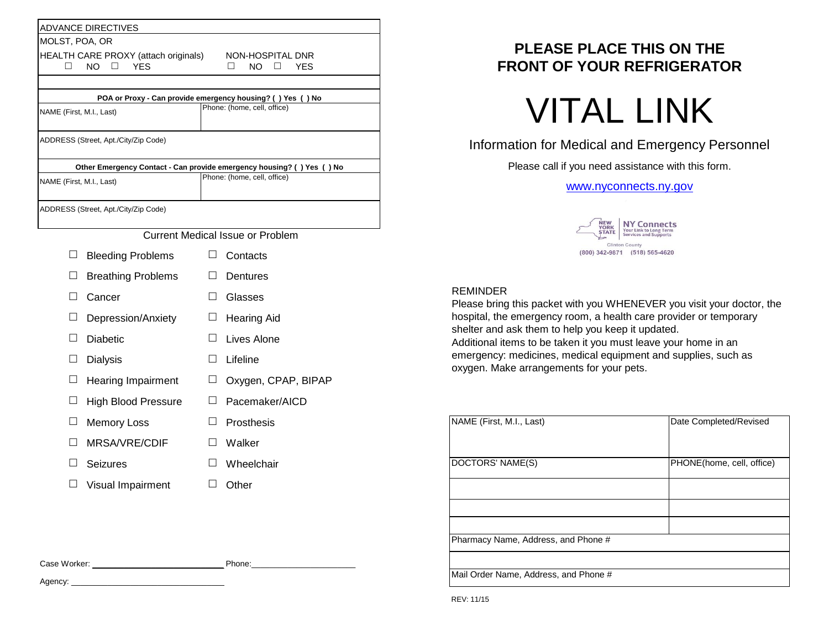|                                      |                                      |        | POA or Proxy - Can provide emergency housing? () Yes () No            |  |  |  |
|--------------------------------------|--------------------------------------|--------|-----------------------------------------------------------------------|--|--|--|
| NAME (First, M.I., Last)             |                                      |        | Phone: (home, cell, office)                                           |  |  |  |
|                                      | ADDRESS (Street, Apt./City/Zip Code) |        |                                                                       |  |  |  |
|                                      |                                      |        | Other Emergency Contact - Can provide emergency housing? () Yes () No |  |  |  |
| NAME (First, M.I., Last)             |                                      |        | Phone: (home, cell, office)                                           |  |  |  |
|                                      | ADDRESS (Street, Apt./City/Zip Code) |        |                                                                       |  |  |  |
|                                      |                                      |        | <b>Current Medical Issue or Problem</b>                               |  |  |  |
| ⊔                                    | <b>Bleeding Problems</b>             |        | Contacts                                                              |  |  |  |
| ⊔                                    | <b>Breathing Problems</b>            | ப      | Dentures                                                              |  |  |  |
| $\Box$                               | Cancer                               | $\Box$ | Glasses                                                               |  |  |  |
| ⊔                                    | Depression/Anxiety                   | ப      | <b>Hearing Aid</b>                                                    |  |  |  |
| П                                    | <b>Diabetic</b>                      |        | Lives Alone                                                           |  |  |  |
| $\Box$<br><b>Dialysis</b>            |                                      | $\Box$ | Lifeline                                                              |  |  |  |
| ⊔<br>Hearing Impairment              |                                      | $\Box$ | Oxygen, CPAP, BIPAP                                                   |  |  |  |
| $\Box$<br><b>High Blood Pressure</b> |                                      | ப      | Pacemaker/AICD                                                        |  |  |  |
| ⊔<br><b>Memory Loss</b>              |                                      | ப      | Prosthesis                                                            |  |  |  |
|                                      | MRSA/VRE/CDIF                        | ш      | Walker                                                                |  |  |  |
| $\Box$                               | <b>Seizures</b>                      | $\Box$ | Wheelchair                                                            |  |  |  |
|                                      | $\Box$ Visual Impairment             |        | $\Box$ Other                                                          |  |  |  |

Agency: \_\_\_\_\_

## **PLEASE PLACE THIS ON THE FRONT OF YOUR REFRIGERATOR**

# **VITAL LINK**

## Information for Medical and Emergency Personnel

Please call if you need assistance with this form.

### [www](http://www.nyconnects.ny.gov/).nyconnects.ny.gov



### REMINDER

Please bring this packet with you WHENEVER you visit your doctor, the hospital, the emergency room, a health care provider or temporary shelter and ask them to help you keep it updated. Additional items to be taken it you must leave your home in an emergency: medicines, medical equipment and supplies, such as oxygen. Make arrangements for your pets.

| NAME (First, M.I., Last)              | Date Completed/Revised    |
|---------------------------------------|---------------------------|
| DOCTORS' NAME(S)                      | PHONE(home, cell, office) |
|                                       |                           |
|                                       |                           |
|                                       |                           |
| Pharmacy Name, Address, and Phone #   |                           |
|                                       |                           |
| Mail Order Name, Address, and Phone # |                           |